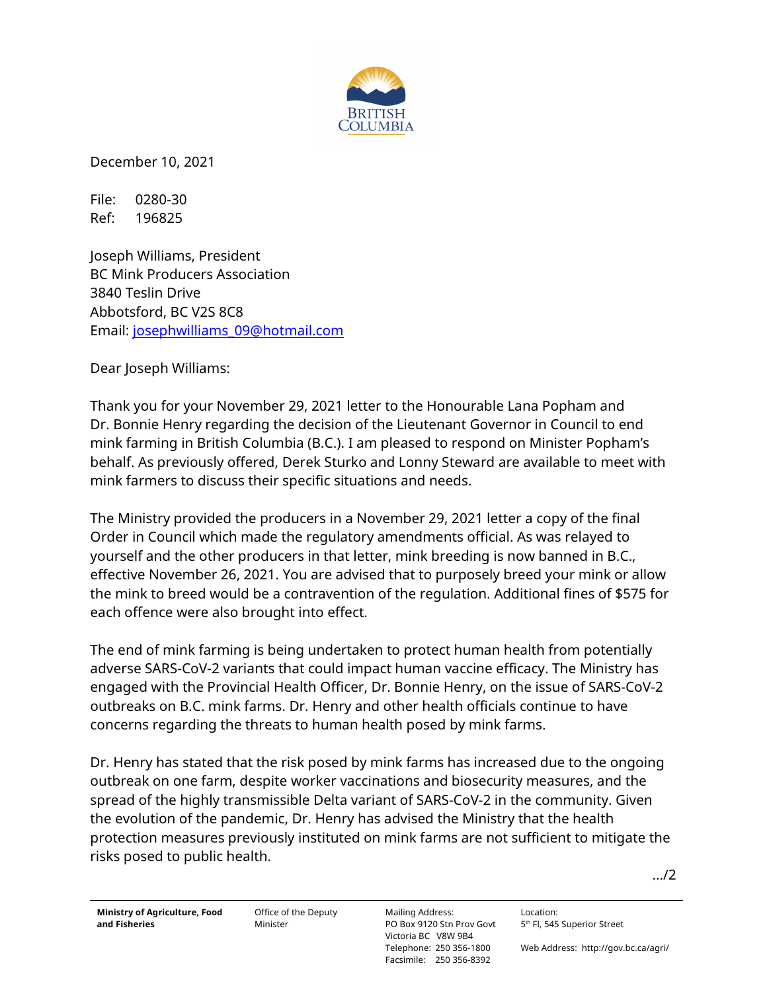

December 10, 2021

File: 0280-30 Ref: 196825

Joseph Williams, President BC Mink Producers Association 3840 Teslin Drive Abbotsford, BC V2S 8C8 Email: [josephwilliams\\_09@hotmail.com](mailto:josephwilliams_09@hotmail.com)

Dear Joseph Williams:

Thank you for your November 29, 2021 letter to the Honourable Lana Popham and Dr. Bonnie Henry regarding the decision of the Lieutenant Governor in Council to end mink farming in British Columbia (B.C.). I am pleased to respond on Minister Popham's behalf. As previously offered, Derek Sturko and Lonny Steward are available to meet with mink farmers to discuss their specific situations and needs.

The Ministry provided the producers in a November 29, 2021 letter a copy of the final Order in Council which made the regulatory amendments official. As was relayed to yourself and the other producers in that letter, mink breeding is now banned in B.C., effective November 26, 2021. You are advised that to purposely breed your mink or allow the mink to breed would be a contravention of the regulation. Additional fines of \$575 for each offence were also brought into effect.

The end of mink farming is being undertaken to protect human health from potentially adverse SARS-CoV-2 variants that could impact human vaccine efficacy. The Ministry has engaged with the Provincial Health Officer, Dr. Bonnie Henry, on the issue of SARS-CoV-2 outbreaks on B.C. mink farms. Dr. Henry and other health officials continue to have concerns regarding the threats to human health posed by mink farms.

Dr. Henry has stated that the risk posed by mink farms has increased due to the ongoing outbreak on one farm, despite worker vaccinations and biosecurity measures, and the spread of the highly transmissible Delta variant of SARS-CoV-2 in the community. Given the evolution of the pandemic, Dr. Henry has advised the Ministry that the health protection measures previously instituted on mink farms are not sufficient to mitigate the risks posed to public health.

…/2

Office of the Deputy Minister

Location: